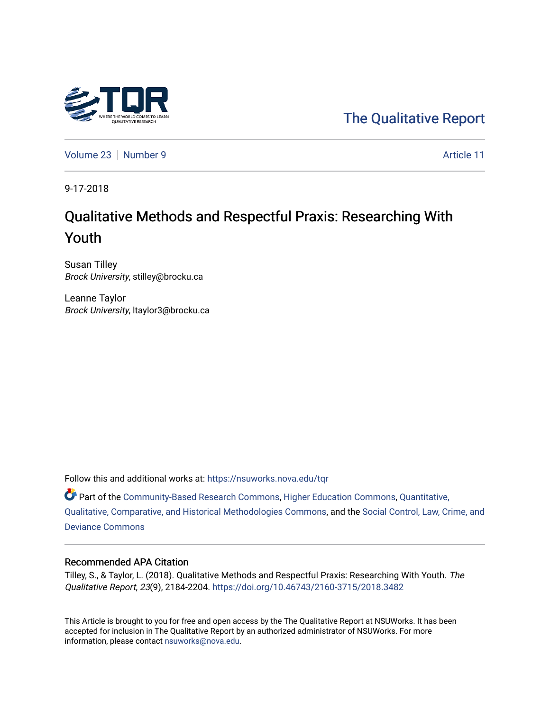

[The Qualitative Report](https://nsuworks.nova.edu/tqr) 

[Volume 23](https://nsuworks.nova.edu/tqr/vol23) [Number 9](https://nsuworks.nova.edu/tqr/vol23/iss9) Article 11

9-17-2018

# Qualitative Methods and Respectful Praxis: Researching With Youth

Susan Tilley Brock University, stilley@brocku.ca

Leanne Taylor Brock University, ltaylor3@brocku.ca

Follow this and additional works at: [https://nsuworks.nova.edu/tqr](https://nsuworks.nova.edu/tqr?utm_source=nsuworks.nova.edu%2Ftqr%2Fvol23%2Fiss9%2F11&utm_medium=PDF&utm_campaign=PDFCoverPages) 

Part of the [Community-Based Research Commons](http://network.bepress.com/hgg/discipline/1047?utm_source=nsuworks.nova.edu%2Ftqr%2Fvol23%2Fiss9%2F11&utm_medium=PDF&utm_campaign=PDFCoverPages), [Higher Education Commons,](http://network.bepress.com/hgg/discipline/1245?utm_source=nsuworks.nova.edu%2Ftqr%2Fvol23%2Fiss9%2F11&utm_medium=PDF&utm_campaign=PDFCoverPages) [Quantitative,](http://network.bepress.com/hgg/discipline/423?utm_source=nsuworks.nova.edu%2Ftqr%2Fvol23%2Fiss9%2F11&utm_medium=PDF&utm_campaign=PDFCoverPages)  [Qualitative, Comparative, and Historical Methodologies Commons,](http://network.bepress.com/hgg/discipline/423?utm_source=nsuworks.nova.edu%2Ftqr%2Fvol23%2Fiss9%2F11&utm_medium=PDF&utm_campaign=PDFCoverPages) and the [Social Control, Law, Crime, and](http://network.bepress.com/hgg/discipline/429?utm_source=nsuworks.nova.edu%2Ftqr%2Fvol23%2Fiss9%2F11&utm_medium=PDF&utm_campaign=PDFCoverPages)  [Deviance Commons](http://network.bepress.com/hgg/discipline/429?utm_source=nsuworks.nova.edu%2Ftqr%2Fvol23%2Fiss9%2F11&utm_medium=PDF&utm_campaign=PDFCoverPages)

#### Recommended APA Citation

Tilley, S., & Taylor, L. (2018). Qualitative Methods and Respectful Praxis: Researching With Youth. The Qualitative Report, 23(9), 2184-2204. <https://doi.org/10.46743/2160-3715/2018.3482>

This Article is brought to you for free and open access by the The Qualitative Report at NSUWorks. It has been accepted for inclusion in The Qualitative Report by an authorized administrator of NSUWorks. For more information, please contact [nsuworks@nova.edu.](mailto:nsuworks@nova.edu)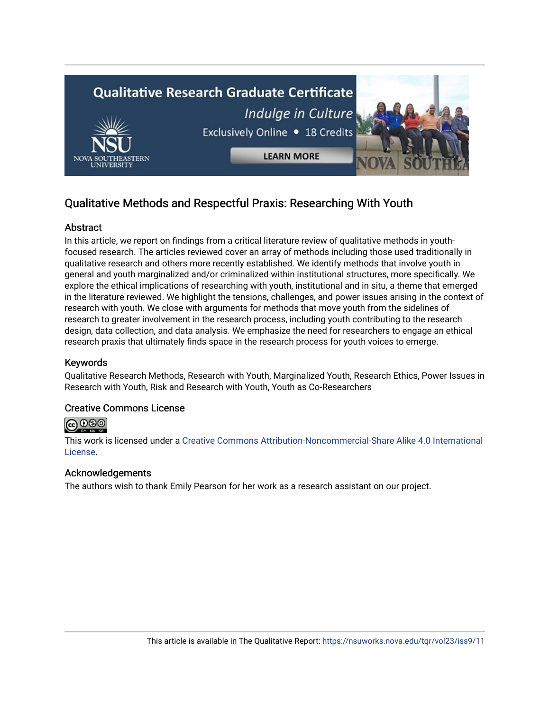

## Qualitative Methods and Respectful Praxis: Researching With Youth

## **Abstract**

In this article, we report on findings from a critical literature review of qualitative methods in youthfocused research. The articles reviewed cover an array of methods including those used traditionally in qualitative research and others more recently established. We identify methods that involve youth in general and youth marginalized and/or criminalized within institutional structures, more specifically. We explore the ethical implications of researching with youth, institutional and in situ, a theme that emerged in the literature reviewed. We highlight the tensions, challenges, and power issues arising in the context of research with youth. We close with arguments for methods that move youth from the sidelines of research to greater involvement in the research process, including youth contributing to the research design, data collection, and data analysis. We emphasize the need for researchers to engage an ethical research praxis that ultimately finds space in the research process for youth voices to emerge.

## Keywords

Qualitative Research Methods, Research with Youth, Marginalized Youth, Research Ethics, Power Issues in Research with Youth, Risk and Research with Youth, Youth as Co-Researchers

### Creative Commons License

## **@** 000

This work is licensed under a [Creative Commons Attribution-Noncommercial-Share Alike 4.0 International](https://creativecommons.org/licenses/by-nc-sa/4.0/)  [License](https://creativecommons.org/licenses/by-nc-sa/4.0/).

### Acknowledgements

The authors wish to thank Emily Pearson for her work as a research assistant on our project.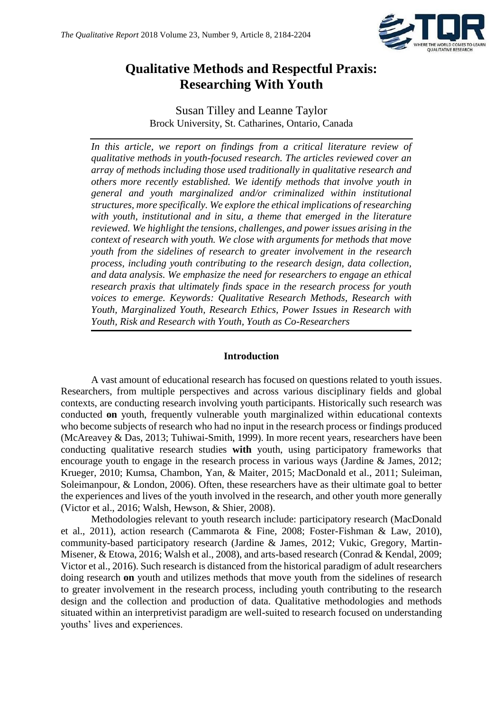

## **Qualitative Methods and Respectful Praxis: Researching With Youth**

Susan Tilley and Leanne Taylor Brock University, St. Catharines, Ontario, Canada

*In this article, we report on findings from a critical literature review of qualitative methods in youth-focused research. The articles reviewed cover an array of methods including those used traditionally in qualitative research and others more recently established. We identify methods that involve youth in general and youth marginalized and/or criminalized within institutional structures, more specifically. We explore the ethical implications of researching with youth, institutional and in situ, a theme that emerged in the literature reviewed. We highlight the tensions, challenges, and power issues arising in the context of research with youth. We close with arguments for methods that move youth from the sidelines of research to greater involvement in the research process, including youth contributing to the research design, data collection, and data analysis. We emphasize the need for researchers to engage an ethical research praxis that ultimately finds space in the research process for youth voices to emerge. Keywords: Qualitative Research Methods, Research with Youth, Marginalized Youth, Research Ethics, Power Issues in Research with Youth, Risk and Research with Youth, Youth as Co-Researchers*

#### **Introduction**

A vast amount of educational research has focused on questions related to youth issues. Researchers, from multiple perspectives and across various disciplinary fields and global contexts, are conducting research involving youth participants. Historically such research was conducted **on** youth, frequently vulnerable youth marginalized within educational contexts who become subjects of research who had no input in the research process or findings produced (McAreavey & Das, 2013; Tuhiwai-Smith, 1999). In more recent years, researchers have been conducting qualitative research studies **with** youth, using participatory frameworks that encourage youth to engage in the research process in various ways (Jardine & James, 2012; Krueger, 2010; Kumsa, Chambon, Yan, & Maiter, 2015; MacDonald et al., 2011; Suleiman, Soleimanpour, & London, 2006). Often, these researchers have as their ultimate goal to better the experiences and lives of the youth involved in the research, and other youth more generally (Victor et al., 2016; Walsh, Hewson, & Shier, 2008).

Methodologies relevant to youth research include: participatory research (MacDonald et al., 2011), action research (Cammarota & Fine, 2008; Foster-Fishman & Law, 2010), community-based participatory research (Jardine & James, 2012; Vukic, Gregory, Martin-Misener, & Etowa, 2016; Walsh et al., 2008), and arts-based research (Conrad & Kendal, 2009; Victor et al., 2016). Such research is distanced from the historical paradigm of adult researchers doing research **on** youth and utilizes methods that move youth from the sidelines of research to greater involvement in the research process, including youth contributing to the research design and the collection and production of data. Qualitative methodologies and methods situated within an interpretivist paradigm are well-suited to research focused on understanding youths' lives and experiences.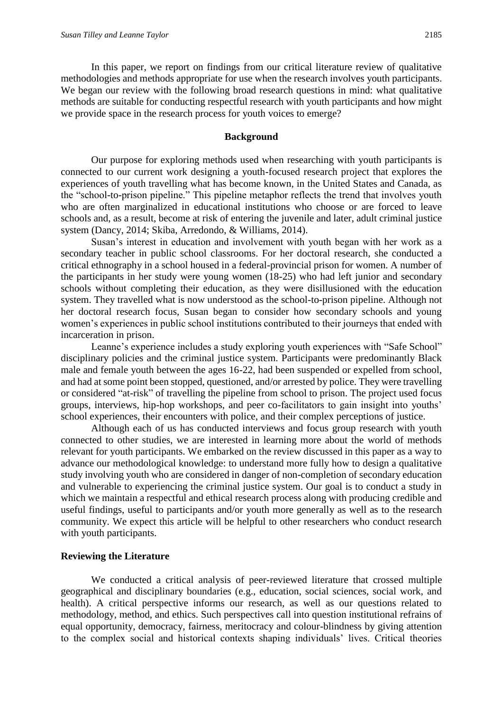In this paper, we report on findings from our critical literature review of qualitative methodologies and methods appropriate for use when the research involves youth participants. We began our review with the following broad research questions in mind: what qualitative methods are suitable for conducting respectful research with youth participants and how might we provide space in the research process for youth voices to emerge?

#### **Background**

Our purpose for exploring methods used when researching with youth participants is connected to our current work designing a youth-focused research project that explores the experiences of youth travelling what has become known, in the United States and Canada, as the "school-to-prison pipeline." This pipeline metaphor reflects the trend that involves youth who are often marginalized in educational institutions who choose or are forced to leave schools and, as a result, become at risk of entering the juvenile and later, adult criminal justice system (Dancy, 2014; Skiba, Arredondo, & Williams, 2014).

Susan's interest in education and involvement with youth began with her work as a secondary teacher in public school classrooms. For her doctoral research, she conducted a critical ethnography in a school housed in a federal-provincial prison for women. A number of the participants in her study were young women (18-25) who had left junior and secondary schools without completing their education, as they were disillusioned with the education system. They travelled what is now understood as the school-to-prison pipeline. Although not her doctoral research focus, Susan began to consider how secondary schools and young women's experiences in public school institutions contributed to their journeys that ended with incarceration in prison.

Leanne's experience includes a study exploring youth experiences with "Safe School" disciplinary policies and the criminal justice system. Participants were predominantly Black male and female youth between the ages 16-22, had been suspended or expelled from school, and had at some point been stopped, questioned, and/or arrested by police. They were travelling or considered "at-risk" of travelling the pipeline from school to prison. The project used focus groups, interviews, hip-hop workshops, and peer co-facilitators to gain insight into youths' school experiences, their encounters with police, and their complex perceptions of justice.

Although each of us has conducted interviews and focus group research with youth connected to other studies, we are interested in learning more about the world of methods relevant for youth participants. We embarked on the review discussed in this paper as a way to advance our methodological knowledge: to understand more fully how to design a qualitative study involving youth who are considered in danger of non-completion of secondary education and vulnerable to experiencing the criminal justice system. Our goal is to conduct a study in which we maintain a respectful and ethical research process along with producing credible and useful findings, useful to participants and/or youth more generally as well as to the research community. We expect this article will be helpful to other researchers who conduct research with youth participants.

#### **Reviewing the Literature**

We conducted a critical analysis of peer-reviewed literature that crossed multiple geographical and disciplinary boundaries (e.g., education, social sciences, social work, and health). A critical perspective informs our research, as well as our questions related to methodology, method, and ethics. Such perspectives call into question institutional refrains of equal opportunity, democracy, fairness, meritocracy and colour-blindness by giving attention to the complex social and historical contexts shaping individuals' lives. Critical theories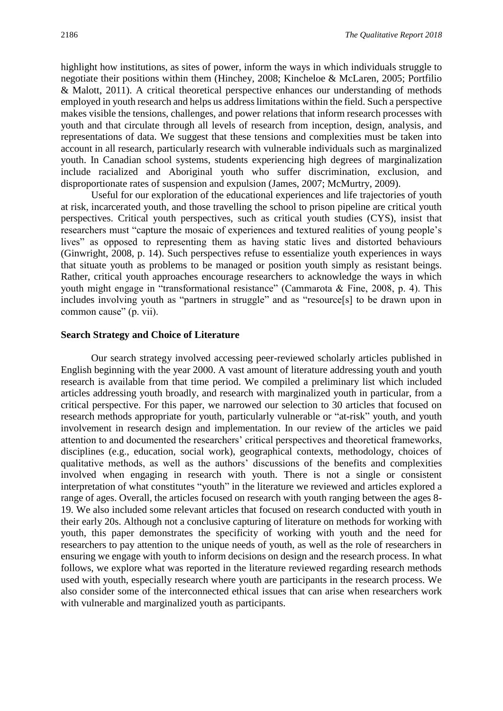highlight how institutions, as sites of power, inform the ways in which individuals struggle to negotiate their positions within them (Hinchey, 2008; Kincheloe & McLaren, 2005; Portfilio & Malott, 2011). A critical theoretical perspective enhances our understanding of methods employed in youth research and helps us address limitations within the field. Such a perspective makes visible the tensions, challenges, and power relations that inform research processes with youth and that circulate through all levels of research from inception, design, analysis, and representations of data. We suggest that these tensions and complexities must be taken into account in all research, particularly research with vulnerable individuals such as marginalized youth. In Canadian school systems, students experiencing high degrees of marginalization include racialized and Aboriginal youth who suffer discrimination, exclusion, and disproportionate rates of suspension and expulsion (James, 2007; McMurtry, 2009).

Useful for our exploration of the educational experiences and life trajectories of youth at risk, incarcerated youth, and those travelling the school to prison pipeline are critical youth perspectives. Critical youth perspectives, such as critical youth studies (CYS), insist that researchers must "capture the mosaic of experiences and textured realities of young people's lives" as opposed to representing them as having static lives and distorted behaviours (Ginwright, 2008, p. 14). Such perspectives refuse to essentialize youth experiences in ways that situate youth as problems to be managed or position youth simply as resistant beings. Rather, critical youth approaches encourage researchers to acknowledge the ways in which youth might engage in "transformational resistance" (Cammarota & Fine, 2008, p. 4). This includes involving youth as "partners in struggle" and as "resource[s] to be drawn upon in common cause" (p. vii).

#### **Search Strategy and Choice of Literature**

Our search strategy involved accessing peer-reviewed scholarly articles published in English beginning with the year 2000. A vast amount of literature addressing youth and youth research is available from that time period. We compiled a preliminary list which included articles addressing youth broadly, and research with marginalized youth in particular, from a critical perspective. For this paper, we narrowed our selection to 30 articles that focused on research methods appropriate for youth, particularly vulnerable or "at-risk" youth, and youth involvement in research design and implementation. In our review of the articles we paid attention to and documented the researchers' critical perspectives and theoretical frameworks, disciplines (e.g., education, social work), geographical contexts, methodology, choices of qualitative methods, as well as the authors' discussions of the benefits and complexities involved when engaging in research with youth. There is not a single or consistent interpretation of what constitutes "youth" in the literature we reviewed and articles explored a range of ages. Overall, the articles focused on research with youth ranging between the ages 8- 19. We also included some relevant articles that focused on research conducted with youth in their early 20s. Although not a conclusive capturing of literature on methods for working with youth, this paper demonstrates the specificity of working with youth and the need for researchers to pay attention to the unique needs of youth, as well as the role of researchers in ensuring we engage with youth to inform decisions on design and the research process. In what follows, we explore what was reported in the literature reviewed regarding research methods used with youth, especially research where youth are participants in the research process. We also consider some of the interconnected ethical issues that can arise when researchers work with vulnerable and marginalized youth as participants.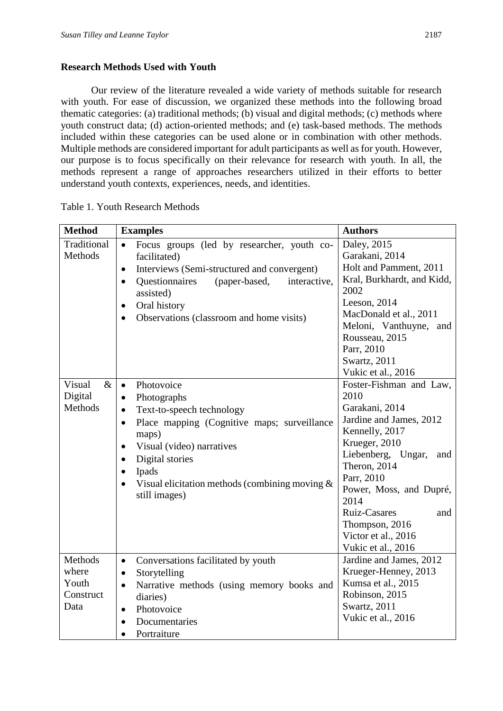## **Research Methods Used with Youth**

Our review of the literature revealed a wide variety of methods suitable for research with youth. For ease of discussion, we organized these methods into the following broad thematic categories: (a) traditional methods; (b) visual and digital methods; (c) methods where youth construct data; (d) action-oriented methods; and (e) task-based methods. The methods included within these categories can be used alone or in combination with other methods. Multiple methods are considered important for adult participants as well as for youth. However, our purpose is to focus specifically on their relevance for research with youth. In all, the methods represent a range of approaches researchers utilized in their efforts to better understand youth contexts, experiences, needs, and identities.

| <b>Method</b>  | <b>Examples</b>                                                     | <b>Authors</b>                  |
|----------------|---------------------------------------------------------------------|---------------------------------|
| Traditional    | Focus groups (led by researcher, youth co-<br>$\bullet$             | Daley, 2015                     |
| Methods        | facilitated)                                                        | Garakani, 2014                  |
|                | Interviews (Semi-structured and convergent)<br>$\bullet$            | Holt and Pamment, 2011          |
|                | <b>Questionnaires</b><br>(paper-based,<br>interactive,<br>$\bullet$ | Kral, Burkhardt, and Kidd,      |
|                | assisted)                                                           | 2002                            |
|                | Oral history<br>$\bullet$                                           | Leeson, 2014                    |
|                | Observations (classroom and home visits)<br>$\bullet$               | MacDonald et al., 2011          |
|                |                                                                     | Meloni, Vanthuyne, and          |
|                |                                                                     | Rousseau, 2015                  |
|                |                                                                     | Parr, 2010                      |
|                |                                                                     | Swartz, 2011                    |
|                |                                                                     | Vukic et al., 2016              |
| Visual<br>$\&$ | $\bullet$<br>Photovoice                                             | Foster-Fishman and Law,         |
| Digital        | Photographs<br>$\bullet$                                            | 2010                            |
| Methods        | Text-to-speech technology<br>$\bullet$                              | Garakani, 2014                  |
|                | Place mapping (Cognitive maps; surveillance<br>$\bullet$            | Jardine and James, 2012         |
|                | maps)                                                               | Kennelly, 2017<br>Krueger, 2010 |
|                | Visual (video) narratives<br>$\bullet$                              | Liebenberg, Ungar,<br>and       |
|                | Digital stories<br>$\bullet$                                        | Theron, 2014                    |
|                | Ipads<br>$\bullet$                                                  | Parr, 2010                      |
|                | Visual elicitation methods (combining moving $\&$<br>$\bullet$      | Power, Moss, and Dupré,         |
|                | still images)                                                       | 2014                            |
|                |                                                                     | Ruiz-Casares<br>and             |
|                |                                                                     | Thompson, 2016                  |
|                |                                                                     | Victor et al., 2016             |
|                |                                                                     | Vukic et al., 2016              |
| Methods        | Conversations facilitated by youth<br>$\bullet$                     | Jardine and James, 2012         |
| where          | Storytelling<br>$\bullet$                                           | Krueger-Henney, 2013            |
| Youth          | Narrative methods (using memory books and<br>$\bullet$              | Kumsa et al., 2015              |
| Construct      | diaries)                                                            | Robinson, 2015                  |
| Data           | Photovoice<br>$\bullet$                                             | Swartz, 2011                    |
|                | Documentaries<br>$\bullet$                                          | Vukic et al., 2016              |
|                | Portraiture<br>$\bullet$                                            |                                 |

Table 1. Youth Research Methods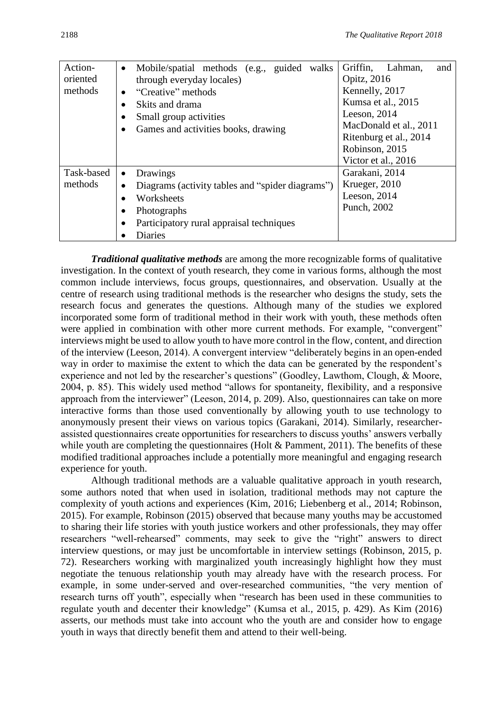| Action-    | Mobile/spatial methods (e.g., guided<br>walks<br>$\bullet$    | Griffin,<br>Lahman,<br>and |
|------------|---------------------------------------------------------------|----------------------------|
| oriented   | through everyday locales)                                     | <b>Opitz</b> , 2016        |
| methods    | "Creative" methods<br>$\bullet$                               | Kennelly, 2017             |
|            | Skits and drama                                               | Kumsa et al., 2015         |
|            | Small group activities<br>$\bullet$                           | Leeson, $2014$             |
|            | Games and activities books, drawing<br>$\bullet$              | MacDonald et al., 2011     |
|            |                                                               | Ritenburg et al., 2014     |
|            |                                                               | Robinson, 2015             |
|            |                                                               | Victor et al., 2016        |
| Task-based | Drawings<br>$\bullet$                                         | Garakani, 2014             |
| methods    | Diagrams (activity tables and "spider diagrams")<br>$\bullet$ | Krueger, 2010              |
|            | Worksheets                                                    | Leeson, 2014               |
|            | Photographs<br>$\bullet$                                      | Punch, 2002                |
|            | Participatory rural appraisal techniques<br>$\bullet$         |                            |
|            | Diaries                                                       |                            |

*Traditional qualitative methods* are among the more recognizable forms of qualitative investigation. In the context of youth research, they come in various forms, although the most common include interviews, focus groups, questionnaires, and observation. Usually at the centre of research using traditional methods is the researcher who designs the study, sets the research focus and generates the questions. Although many of the studies we explored incorporated some form of traditional method in their work with youth, these methods often were applied in combination with other more current methods. For example, "convergent" interviews might be used to allow youth to have more control in the flow, content, and direction of the interview (Leeson, 2014). A convergent interview "deliberately begins in an open-ended way in order to maximise the extent to which the data can be generated by the respondent's experience and not led by the researcher's questions" (Goodley, Lawthom, Clough, & Moore, 2004, p. 85). This widely used method "allows for spontaneity, flexibility, and a responsive approach from the interviewer" (Leeson, 2014, p. 209). Also, questionnaires can take on more interactive forms than those used conventionally by allowing youth to use technology to anonymously present their views on various topics (Garakani, 2014). Similarly, researcherassisted questionnaires create opportunities for researchers to discuss youths' answers verbally while youth are completing the questionnaires (Holt & Pamment, 2011). The benefits of these modified traditional approaches include a potentially more meaningful and engaging research experience for youth.

Although traditional methods are a valuable qualitative approach in youth research, some authors noted that when used in isolation, traditional methods may not capture the complexity of youth actions and experiences (Kim, 2016; Liebenberg et al., 2014; Robinson, 2015). For example, Robinson (2015) observed that because many youths may be accustomed to sharing their life stories with youth justice workers and other professionals, they may offer researchers "well-rehearsed" comments, may seek to give the "right" answers to direct interview questions, or may just be uncomfortable in interview settings (Robinson, 2015, p. 72). Researchers working with marginalized youth increasingly highlight how they must negotiate the tenuous relationship youth may already have with the research process. For example, in some under-served and over-researched communities, "the very mention of research turns off youth", especially when "research has been used in these communities to regulate youth and decenter their knowledge" (Kumsa et al*.,* 2015, p. 429). As Kim (2016) asserts, our methods must take into account who the youth are and consider how to engage youth in ways that directly benefit them and attend to their well-being.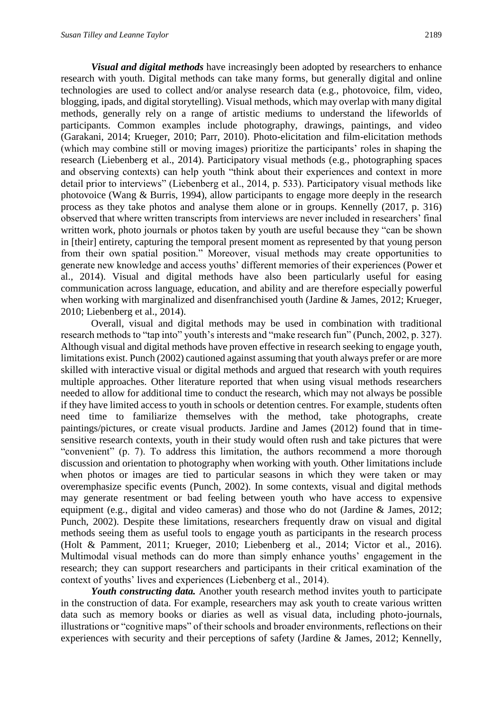*Visual and digital methods* have increasingly been adopted by researchers to enhance research with youth. Digital methods can take many forms, but generally digital and online technologies are used to collect and/or analyse research data (e.g., photovoice, film, video, blogging, ipads, and digital storytelling). Visual methods, which may overlap with many digital methods, generally rely on a range of artistic mediums to understand the lifeworlds of participants. Common examples include photography, drawings, paintings, and video (Garakani, 2014; Krueger, 2010; Parr, 2010). Photo-elicitation and film-elicitation methods (which may combine still or moving images) prioritize the participants' roles in shaping the research (Liebenberg et al., 2014). Participatory visual methods (e.g., photographing spaces and observing contexts) can help youth "think about their experiences and context in more detail prior to interviews" (Liebenberg et al., 2014, p. 533). Participatory visual methods like photovoice (Wang & Burris, 1994), allow participants to engage more deeply in the research process as they take photos and analyse them alone or in groups. Kennelly (2017, p. 316) observed that where written transcripts from interviews are never included in researchers' final written work, photo journals or photos taken by youth are useful because they "can be shown in [their] entirety, capturing the temporal present moment as represented by that young person from their own spatial position." Moreover, visual methods may create opportunities to generate new knowledge and access youths' different memories of their experiences (Power et al., 2014). Visual and digital methods have also been particularly useful for easing communication across language, education, and ability and are therefore especially powerful when working with marginalized and disenfranchised youth (Jardine & James, 2012; Krueger, 2010; Liebenberg et al., 2014).

Overall, visual and digital methods may be used in combination with traditional research methods to "tap into" youth's interests and "make research fun" (Punch, 2002, p. 327). Although visual and digital methods have proven effective in research seeking to engage youth, limitations exist. Punch (2002) cautioned against assuming that youth always prefer or are more skilled with interactive visual or digital methods and argued that research with youth requires multiple approaches. Other literature reported that when using visual methods researchers needed to allow for additional time to conduct the research, which may not always be possible if they have limited access to youth in schools or detention centres. For example, students often need time to familiarize themselves with the method, take photographs, create paintings/pictures, or create visual products. Jardine and James (2012) found that in timesensitive research contexts, youth in their study would often rush and take pictures that were "convenient" (p. 7). To address this limitation, the authors recommend a more thorough discussion and orientation to photography when working with youth. Other limitations include when photos or images are tied to particular seasons in which they were taken or may overemphasize specific events (Punch, 2002). In some contexts, visual and digital methods may generate resentment or bad feeling between youth who have access to expensive equipment (e.g., digital and video cameras) and those who do not (Jardine & James, 2012; Punch, 2002). Despite these limitations, researchers frequently draw on visual and digital methods seeing them as useful tools to engage youth as participants in the research process (Holt & Pamment, 2011; Krueger, 2010; Liebenberg et al., 2014; Victor et al., 2016). Multimodal visual methods can do more than simply enhance youths' engagement in the research; they can support researchers and participants in their critical examination of the context of youths' lives and experiences (Liebenberg et al., 2014).

*Youth constructing data.* Another youth research method invites youth to participate in the construction of data. For example, researchers may ask youth to create various written data such as memory books or diaries as well as visual data, including photo-journals, illustrations or "cognitive maps" of their schools and broader environments, reflections on their experiences with security and their perceptions of safety (Jardine & James, 2012; Kennelly,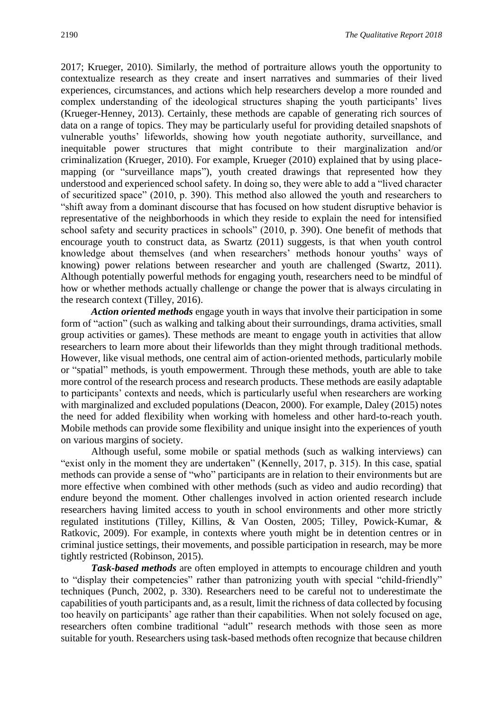2017; Krueger, 2010). Similarly, the method of portraiture allows youth the opportunity to contextualize research as they create and insert narratives and summaries of their lived experiences, circumstances, and actions which help researchers develop a more rounded and complex understanding of the ideological structures shaping the youth participants' lives (Krueger-Henney, 2013). Certainly, these methods are capable of generating rich sources of data on a range of topics. They may be particularly useful for providing detailed snapshots of vulnerable youths' lifeworlds, showing how youth negotiate authority, surveillance, and inequitable power structures that might contribute to their marginalization and/or criminalization (Krueger, 2010). For example, Krueger (2010) explained that by using placemapping (or "surveillance maps"), youth created drawings that represented how they understood and experienced school safety. In doing so, they were able to add a "lived character of securitized space" (2010, p. 390). This method also allowed the youth and researchers to "shift away from a dominant discourse that has focused on how student disruptive behavior is representative of the neighborhoods in which they reside to explain the need for intensified school safety and security practices in schools" (2010, p. 390). One benefit of methods that encourage youth to construct data, as Swartz (2011) suggests, is that when youth control knowledge about themselves (and when researchers' methods honour youths' ways of knowing) power relations between researcher and youth are challenged (Swartz, 2011). Although potentially powerful methods for engaging youth, researchers need to be mindful of how or whether methods actually challenge or change the power that is always circulating in the research context (Tilley, 2016).

*Action oriented methods* engage youth in ways that involve their participation in some form of "action" (such as walking and talking about their surroundings, drama activities, small group activities or games). These methods are meant to engage youth in activities that allow researchers to learn more about their lifeworlds than they might through traditional methods. However, like visual methods, one central aim of action-oriented methods, particularly mobile or "spatial" methods, is youth empowerment. Through these methods, youth are able to take more control of the research process and research products. These methods are easily adaptable to participants' contexts and needs, which is particularly useful when researchers are working with marginalized and excluded populations (Deacon, 2000). For example, Daley (2015) notes the need for added flexibility when working with homeless and other hard-to-reach youth. Mobile methods can provide some flexibility and unique insight into the experiences of youth on various margins of society.

Although useful, some mobile or spatial methods (such as walking interviews) can "exist only in the moment they are undertaken" (Kennelly, 2017, p. 315). In this case, spatial methods can provide a sense of "who" participants are in relation to their environments but are more effective when combined with other methods (such as video and audio recording) that endure beyond the moment. Other challenges involved in action oriented research include researchers having limited access to youth in school environments and other more strictly regulated institutions (Tilley, Killins, & Van Oosten, 2005; Tilley, Powick-Kumar, & Ratkovic, 2009). For example, in contexts where youth might be in detention centres or in criminal justice settings, their movements, and possible participation in research, may be more tightly restricted (Robinson, 2015).

*Task-based methods* are often employed in attempts to encourage children and youth to "display their competencies" rather than patronizing youth with special "child-friendly" techniques (Punch, 2002, p. 330). Researchers need to be careful not to underestimate the capabilities of youth participants and, as a result, limit the richness of data collected by focusing too heavily on participants' age rather than their capabilities. When not solely focused on age, researchers often combine traditional "adult" research methods with those seen as more suitable for youth. Researchers using task-based methods often recognize that because children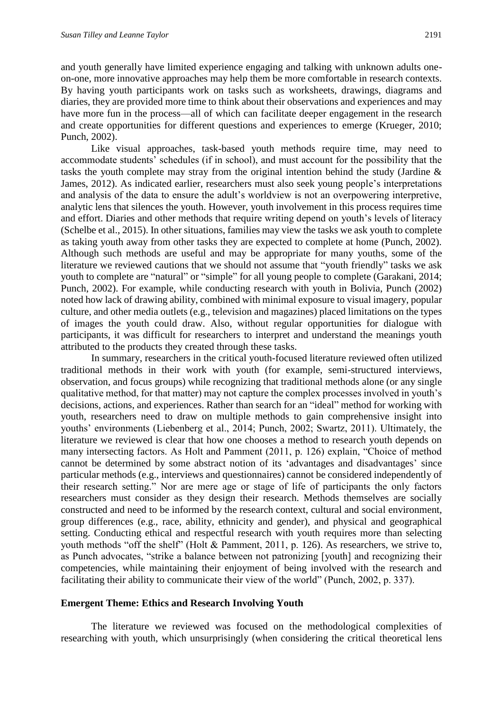and youth generally have limited experience engaging and talking with unknown adults oneon-one, more innovative approaches may help them be more comfortable in research contexts. By having youth participants work on tasks such as worksheets, drawings, diagrams and diaries, they are provided more time to think about their observations and experiences and may have more fun in the process—all of which can facilitate deeper engagement in the research and create opportunities for different questions and experiences to emerge (Krueger, 2010; Punch, 2002).

Like visual approaches, task-based youth methods require time, may need to accommodate students' schedules (if in school), and must account for the possibility that the tasks the youth complete may stray from the original intention behind the study (Jardine & James, 2012). As indicated earlier, researchers must also seek young people's interpretations and analysis of the data to ensure the adult's worldview is not an overpowering interpretive, analytic lens that silences the youth. However, youth involvement in this process requires time and effort. Diaries and other methods that require writing depend on youth's levels of literacy (Schelbe et al., 2015). In other situations, families may view the tasks we ask youth to complete as taking youth away from other tasks they are expected to complete at home (Punch, 2002). Although such methods are useful and may be appropriate for many youths, some of the literature we reviewed cautions that we should not assume that "youth friendly" tasks we ask youth to complete are "natural" or "simple" for all young people to complete (Garakani, 2014; Punch, 2002). For example, while conducting research with youth in Bolivia, Punch (2002) noted how lack of drawing ability, combined with minimal exposure to visual imagery, popular culture, and other media outlets (e.g., television and magazines) placed limitations on the types of images the youth could draw. Also, without regular opportunities for dialogue with participants, it was difficult for researchers to interpret and understand the meanings youth attributed to the products they created through these tasks.

In summary, researchers in the critical youth-focused literature reviewed often utilized traditional methods in their work with youth (for example, semi-structured interviews, observation, and focus groups) while recognizing that traditional methods alone (or any single qualitative method, for that matter) may not capture the complex processes involved in youth's decisions, actions, and experiences. Rather than search for an "ideal" method for working with youth, researchers need to draw on multiple methods to gain comprehensive insight into youths' environments (Liebenberg et al., 2014; Punch, 2002; Swartz, 2011). Ultimately, the literature we reviewed is clear that how one chooses a method to research youth depends on many intersecting factors. As Holt and Pamment (2011, p. 126) explain, "Choice of method cannot be determined by some abstract notion of its 'advantages and disadvantages' since particular methods (e.g., interviews and questionnaires) cannot be considered independently of their research setting." Nor are mere age or stage of life of participants the only factors researchers must consider as they design their research. Methods themselves are socially constructed and need to be informed by the research context, cultural and social environment, group differences (e.g., race, ability, ethnicity and gender), and physical and geographical setting. Conducting ethical and respectful research with youth requires more than selecting youth methods "off the shelf" (Holt & Pamment, 2011, p. 126). As researchers, we strive to, as Punch advocates, "strike a balance between not patronizing [youth] and recognizing their competencies, while maintaining their enjoyment of being involved with the research and facilitating their ability to communicate their view of the world" (Punch, 2002, p. 337).

#### **Emergent Theme: Ethics and Research Involving Youth**

The literature we reviewed was focused on the methodological complexities of researching with youth, which unsurprisingly (when considering the critical theoretical lens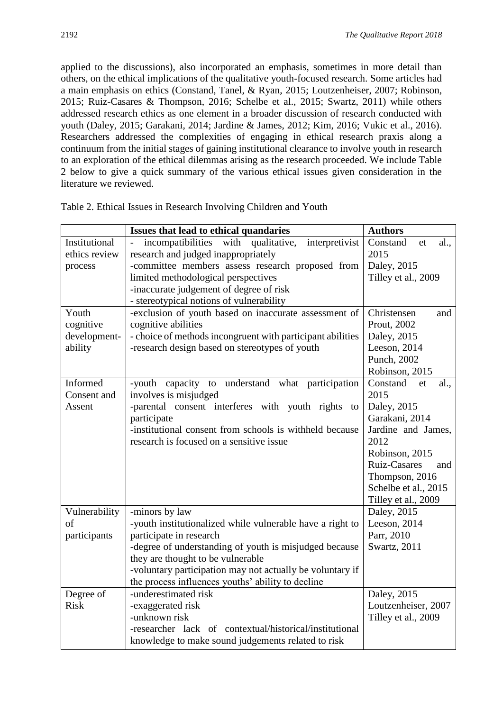applied to the discussions), also incorporated an emphasis, sometimes in more detail than others, on the ethical implications of the qualitative youth-focused research. Some articles had a main emphasis on ethics (Constand, Tanel, & Ryan, 2015; Loutzenheiser, 2007; Robinson, 2015; Ruiz-Casares & Thompson, 2016; Schelbe et al., 2015; Swartz, 2011) while others addressed research ethics as one element in a broader discussion of research conducted with youth (Daley, 2015; Garakani, 2014; Jardine & James, 2012; Kim, 2016; Vukic et al., 2016). Researchers addressed the complexities of engaging in ethical research praxis along a continuum from the initial stages of gaining institutional clearance to involve youth in research to an exploration of the ethical dilemmas arising as the research proceeded. We include Table 2 below to give a quick summary of the various ethical issues given consideration in the literature we reviewed.

|               | Issues that lead to ethical quandaries                      | <b>Authors</b>             |
|---------------|-------------------------------------------------------------|----------------------------|
| Institutional | with<br>incompatibilities<br>qualitative,<br>interpretivist | Constand<br>al.,<br>et     |
| ethics review | research and judged inappropriately                         | 2015                       |
| process       | -committee members assess research proposed from            | Daley, 2015                |
|               | limited methodological perspectives                         | Tilley et al., 2009        |
|               | -inaccurate judgement of degree of risk                     |                            |
|               | - stereotypical notions of vulnerability                    |                            |
| Youth         | -exclusion of youth based on inaccurate assessment of       | Christensen<br>and         |
| cognitive     | cognitive abilities                                         | Prout, 2002                |
| development-  | - choice of methods incongruent with participant abilities  | Daley, 2015                |
| ability       | -research design based on stereotypes of youth              | Leeson, 2014               |
|               |                                                             | Punch, 2002                |
|               |                                                             | Robinson, 2015             |
| Informed      | -youth capacity to understand what participation            | Constand<br>al.,<br>et     |
| Consent and   | involves is misjudged                                       | 2015                       |
| Assent        | -parental consent interferes with youth rights<br>to        | Daley, 2015                |
|               | participate                                                 | Garakani, 2014             |
|               | -institutional consent from schools is withheld because     | Jardine and James,         |
|               | research is focused on a sensitive issue                    | 2012                       |
|               |                                                             | Robinson, 2015             |
|               |                                                             | <b>Ruiz-Casares</b><br>and |
|               |                                                             | Thompson, 2016             |
|               |                                                             | Schelbe et al., 2015       |
|               |                                                             | Tilley et al., 2009        |
| Vulnerability | -minors by law                                              | Daley, 2015                |
| of            | -youth institutionalized while vulnerable have a right to   | Leeson, 2014               |
| participants  | participate in research                                     | Parr, 2010                 |
|               | -degree of understanding of youth is misjudged because      | Swartz, 2011               |
|               | they are thought to be vulnerable                           |                            |
|               | -voluntary participation may not actually be voluntary if   |                            |
|               | the process influences youths' ability to decline           |                            |
| Degree of     | -underestimated risk                                        | Daley, 2015                |
| <b>Risk</b>   | -exaggerated risk                                           | Loutzenheiser, 2007        |
|               | -unknown risk                                               | Tilley et al., 2009        |
|               | -researcher lack of contextual/historical/institutional     |                            |
|               | knowledge to make sound judgements related to risk          |                            |

Table 2. Ethical Issues in Research Involving Children and Youth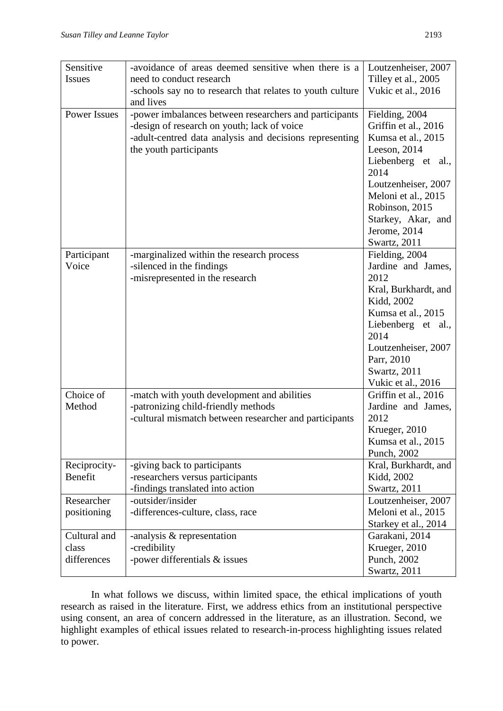| Sensitive           | -avoidance of areas deemed sensitive when there is a      | Loutzenheiser, 2007        |
|---------------------|-----------------------------------------------------------|----------------------------|
| <b>Issues</b>       | need to conduct research                                  | Tilley et al., 2005        |
|                     | -schools say no to research that relates to youth culture | Vukic et al., 2016         |
|                     | and lives                                                 |                            |
| <b>Power Issues</b> | -power imbalances between researchers and participants    | Fielding, 2004             |
|                     | -design of research on youth; lack of voice               | Griffin et al., 2016       |
|                     | -adult-centred data analysis and decisions representing   | Kumsa et al., 2015         |
|                     | the youth participants                                    | Leeson, 2014               |
|                     |                                                           | Liebenberg et al.,         |
|                     |                                                           | 2014                       |
|                     |                                                           | Loutzenheiser, 2007        |
|                     |                                                           | Meloni et al., 2015        |
|                     |                                                           | Robinson, 2015             |
|                     |                                                           | Starkey, Akar, and         |
|                     |                                                           | Jerome, 2014               |
|                     |                                                           | Swartz, 2011               |
| Participant         | -marginalized within the research process                 | Fielding, 2004             |
| Voice               | -silenced in the findings                                 | Jardine and James,         |
|                     | -misrepresented in the research                           | 2012                       |
|                     |                                                           | Kral, Burkhardt, and       |
|                     |                                                           | Kidd, 2002                 |
|                     |                                                           | Kumsa et al., 2015         |
|                     |                                                           | Liebenberg et al.,<br>2014 |
|                     |                                                           | Loutzenheiser, 2007        |
|                     |                                                           | Parr, 2010                 |
|                     |                                                           | Swartz, 2011               |
|                     |                                                           | Vukic et al., 2016         |
| Choice of           | -match with youth development and abilities               | Griffin et al., 2016       |
| Method              | -patronizing child-friendly methods                       | Jardine and James,         |
|                     | -cultural mismatch between researcher and participants    | 2012                       |
|                     |                                                           | Krueger, 2010              |
|                     |                                                           | Kumsa et al., 2015         |
|                     |                                                           | Punch, 2002                |
| Reciprocity-        | -giving back to participants                              | Kral, Burkhardt, and       |
| Benefit             | -researchers versus participants                          | Kidd, 2002                 |
|                     | -findings translated into action                          | Swartz, 2011               |
| Researcher          | -outsider/insider                                         | Loutzenheiser, 2007        |
| positioning         | -differences-culture, class, race                         | Meloni et al., 2015        |
|                     |                                                           | Starkey et al., 2014       |
| Cultural and        | -analysis $&$ representation                              | Garakani, 2014             |
| class               | -credibility                                              | Krueger, 2010              |
| differences         | -power differentials & issues                             | Punch, 2002                |
|                     |                                                           | Swartz, 2011               |

In what follows we discuss, within limited space, the ethical implications of youth research as raised in the literature. First, we address ethics from an institutional perspective using consent, an area of concern addressed in the literature, as an illustration. Second, we highlight examples of ethical issues related to research-in-process highlighting issues related to power.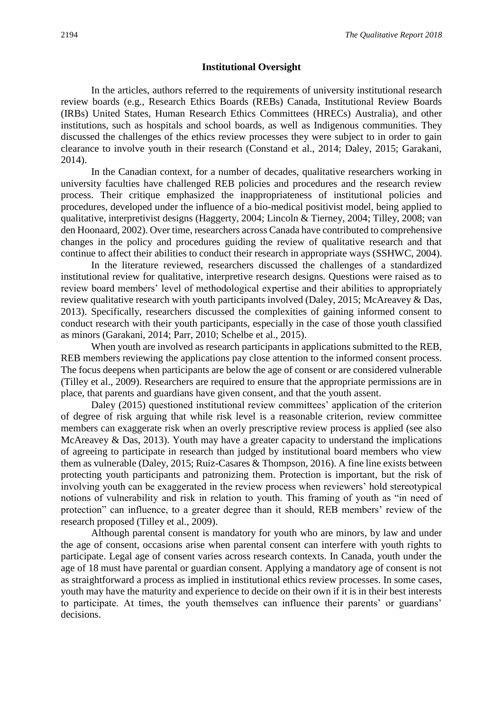#### **Institutional Oversight**

In the articles, authors referred to the requirements of university institutional research review boards (e.g., Research Ethics Boards (REBs) Canada, Institutional Review Boards (IRBs) United States, Human Research Ethics Committees (HRECs) Australia), and other institutions, such as hospitals and school boards, as well as Indigenous communities. They discussed the challenges of the ethics review processes they were subject to in order to gain clearance to involve youth in their research (Constand et al., 2014; Daley, 2015; Garakani, 2014).

In the Canadian context, for a number of decades, qualitative researchers working in university faculties have challenged REB policies and procedures and the research review process. Their critique emphasized the inappropriateness of institutional policies and procedures, developed under the influence of a bio-medical positivist model, being applied to qualitative, interpretivist designs (Haggerty, 2004; Lincoln & Tierney, 2004; Tilley, 2008; van den Hoonaard, 2002). Over time, researchers across Canada have contributed to comprehensive changes in the policy and procedures guiding the review of qualitative research and that continue to affect their abilities to conduct their research in appropriate ways (SSHWC, 2004).

In the literature reviewed, researchers discussed the challenges of a standardized institutional review for qualitative, interpretive research designs. Questions were raised as to review board members' level of methodological expertise and their abilities to appropriately review qualitative research with youth participants involved (Daley, 2015; McAreavey & Das, 2013). Specifically, researchers discussed the complexities of gaining informed consent to conduct research with their youth participants, especially in the case of those youth classified as minors (Garakani, 2014; Parr, 2010; Schelbe et al., 2015).

When youth are involved as research participants in applications submitted to the REB, REB members reviewing the applications pay close attention to the informed consent process. The focus deepens when participants are below the age of consent or are considered vulnerable (Tilley et al., 2009). Researchers are required to ensure that the appropriate permissions are in place, that parents and guardians have given consent, and that the youth assent.

Daley (2015) questioned institutional review committees' application of the criterion of degree of risk arguing that while risk level is a reasonable criterion, review committee members can exaggerate risk when an overly prescriptive review process is applied (see also McAreavey & Das, 2013). Youth may have a greater capacity to understand the implications of agreeing to participate in research than judged by institutional board members who view them as vulnerable (Daley, 2015; Ruiz-Casares & Thompson, 2016). A fine line exists between protecting youth participants and patronizing them. Protection is important, but the risk of involving youth can be exaggerated in the review process when reviewers' hold stereotypical notions of vulnerability and risk in relation to youth. This framing of youth as "in need of protection" can influence, to a greater degree than it should, REB members' review of the research proposed (Tilley et al., 2009).

Although parental consent is mandatory for youth who are minors, by law and under the age of consent, occasions arise when parental consent can interfere with youth rights to participate. Legal age of consent varies across research contexts. In Canada, youth under the age of 18 must have parental or guardian consent. Applying a mandatory age of consent is not as straightforward a process as implied in institutional ethics review processes. In some cases, youth may have the maturity and experience to decide on their own if it is in their best interests to participate. At times, the youth themselves can influence their parents' or guardians' decisions.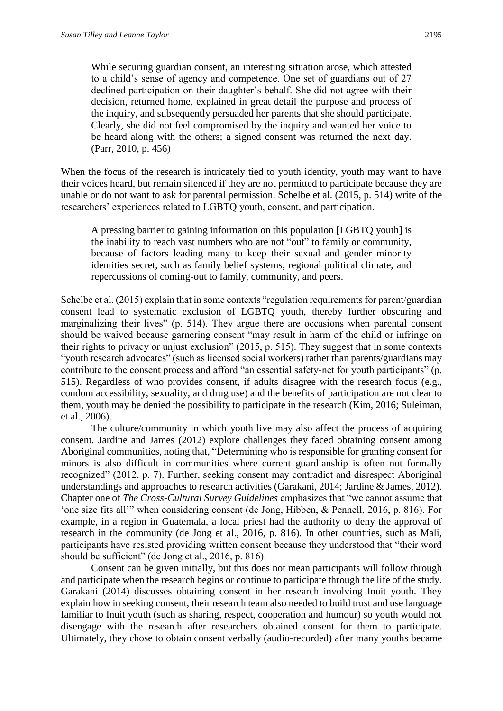While securing guardian consent, an interesting situation arose, which attested to a child's sense of agency and competence. One set of guardians out of 27 declined participation on their daughter's behalf. She did not agree with their decision, returned home, explained in great detail the purpose and process of the inquiry, and subsequently persuaded her parents that she should participate. Clearly, she did not feel compromised by the inquiry and wanted her voice to be heard along with the others; a signed consent was returned the next day. (Parr, 2010, p. 456)

When the focus of the research is intricately tied to youth identity, youth may want to have their voices heard, but remain silenced if they are not permitted to participate because they are unable or do not want to ask for parental permission. Schelbe et al. (2015, p. 514) write of the researchers' experiences related to LGBTQ youth, consent, and participation.

A pressing barrier to gaining information on this population [LGBTQ youth] is the inability to reach vast numbers who are not "out" to family or community, because of factors leading many to keep their sexual and gender minority identities secret, such as family belief systems, regional political climate, and repercussions of coming-out to family, community, and peers.

Schelbe et al. (2015) explain that in some contexts "regulation requirements for parent/guardian consent lead to systematic exclusion of LGBTQ youth, thereby further obscuring and marginalizing their lives" (p. 514). They argue there are occasions when parental consent should be waived because garnering consent "may result in harm of the child or infringe on their rights to privacy or unjust exclusion" (2015, p. 515). They suggest that in some contexts "youth research advocates" (such as licensed social workers) rather than parents/guardians may contribute to the consent process and afford "an essential safety-net for youth participants" (p. 515). Regardless of who provides consent, if adults disagree with the research focus (e.g., condom accessibility, sexuality, and drug use) and the benefits of participation are not clear to them, youth may be denied the possibility to participate in the research (Kim, 2016; Suleiman, et al., 2006).

The culture/community in which youth live may also affect the process of acquiring consent. Jardine and James (2012) explore challenges they faced obtaining consent among Aboriginal communities, noting that, "Determining who is responsible for granting consent for minors is also difficult in communities where current guardianship is often not formally recognized" (2012, p. 7). Further, seeking consent may contradict and disrespect Aboriginal understandings and approaches to research activities (Garakani, 2014; Jardine & James, 2012). Chapter one of *The Cross-Cultural Survey Guidelines* emphasizes that "we cannot assume that 'one size fits all'" when considering consent (de Jong, Hibben, & Pennell, 2016, p. 816). For example, in a region in Guatemala, a local priest had the authority to deny the approval of research in the community (de Jong et al., 2016, p. 816). In other countries, such as Mali, participants have resisted providing written consent because they understood that "their word should be sufficient" (de Jong et al., 2016, p. 816).

Consent can be given initially, but this does not mean participants will follow through and participate when the research begins or continue to participate through the life of the study. Garakani (2014) discusses obtaining consent in her research involving Inuit youth. They explain how in seeking consent, their research team also needed to build trust and use language familiar to Inuit youth (such as sharing, respect, cooperation and humour) so youth would not disengage with the research after researchers obtained consent for them to participate. Ultimately, they chose to obtain consent verbally (audio-recorded) after many youths became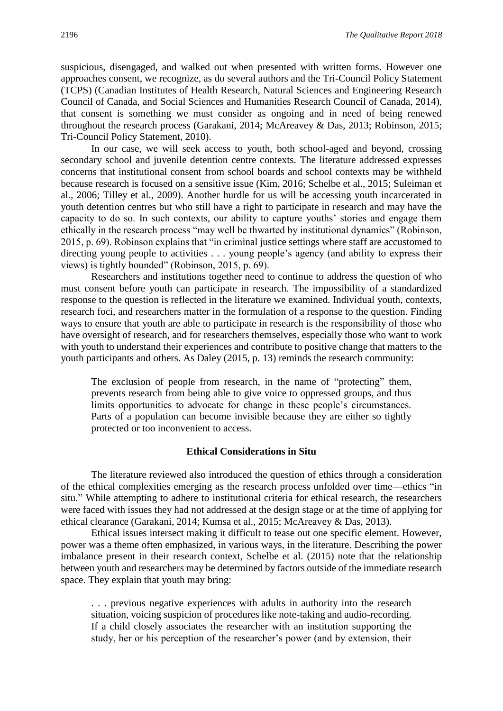suspicious, disengaged, and walked out when presented with written forms. However one approaches consent, we recognize, as do several authors and the Tri-Council Policy Statement (TCPS) (Canadian Institutes of Health Research, Natural Sciences and Engineering Research Council of Canada, and Social Sciences and Humanities Research Council of Canada, 2014), that consent is something we must consider as ongoing and in need of being renewed throughout the research process (Garakani, 2014; McAreavey & Das, 2013; Robinson, 2015; Tri-Council Policy Statement, 2010).

In our case, we will seek access to youth, both school-aged and beyond, crossing secondary school and juvenile detention centre contexts. The literature addressed expresses concerns that institutional consent from school boards and school contexts may be withheld because research is focused on a sensitive issue (Kim, 2016; Schelbe et al., 2015; Suleiman et al., 2006; Tilley et al., 2009). Another hurdle for us will be accessing youth incarcerated in youth detention centres but who still have a right to participate in research and may have the capacity to do so. In such contexts, our ability to capture youths' stories and engage them ethically in the research process "may well be thwarted by institutional dynamics" (Robinson, 2015, p. 69). Robinson explains that "in criminal justice settings where staff are accustomed to directing young people to activities . . . young people's agency (and ability to express their views) is tightly bounded" (Robinson, 2015, p. 69).

Researchers and institutions together need to continue to address the question of who must consent before youth can participate in research. The impossibility of a standardized response to the question is reflected in the literature we examined. Individual youth, contexts, research foci, and researchers matter in the formulation of a response to the question. Finding ways to ensure that youth are able to participate in research is the responsibility of those who have oversight of research, and for researchers themselves, especially those who want to work with youth to understand their experiences and contribute to positive change that matters to the youth participants and others. As Daley (2015, p. 13) reminds the research community:

The exclusion of people from research, in the name of "protecting" them, prevents research from being able to give voice to oppressed groups, and thus limits opportunities to advocate for change in these people's circumstances. Parts of a population can become invisible because they are either so tightly protected or too inconvenient to access.

#### **Ethical Considerations in Situ**

The literature reviewed also introduced the question of ethics through a consideration of the ethical complexities emerging as the research process unfolded over time—ethics "in situ." While attempting to adhere to institutional criteria for ethical research, the researchers were faced with issues they had not addressed at the design stage or at the time of applying for ethical clearance (Garakani, 2014; Kumsa et al., 2015; McAreavey & Das, 2013).

Ethical issues intersect making it difficult to tease out one specific element. However, power was a theme often emphasized, in various ways, in the literature. Describing the power imbalance present in their research context, Schelbe et al. (2015) note that the relationship between youth and researchers may be determined by factors outside of the immediate research space. They explain that youth may bring:

. . . previous negative experiences with adults in authority into the research situation, voicing suspicion of procedures like note-taking and audio-recording. If a child closely associates the researcher with an institution supporting the study, her or his perception of the researcher's power (and by extension, their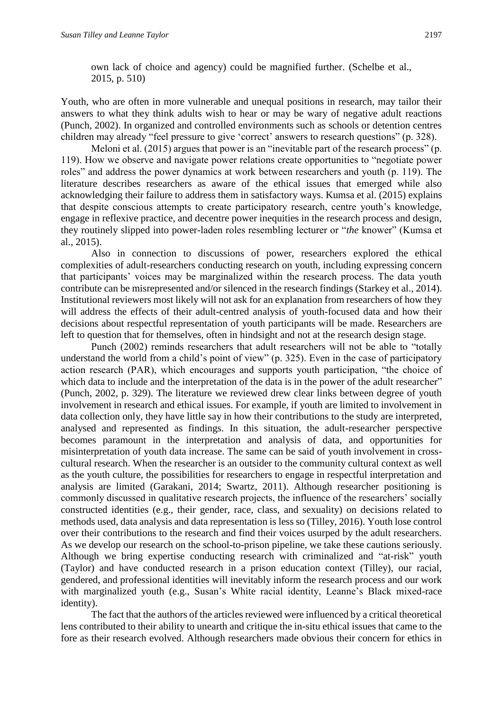own lack of choice and agency) could be magnified further. (Schelbe et al., 2015, p. 510)

Youth, who are often in more vulnerable and unequal positions in research, may tailor their answers to what they think adults wish to hear or may be wary of negative adult reactions (Punch, 2002). In organized and controlled environments such as schools or detention centres children may already "feel pressure to give 'correct' answers to research questions" (p. 328).

Meloni et al. (2015) argues that power is an "inevitable part of the research process" (p. 119). How we observe and navigate power relations create opportunities to "negotiate power roles" and address the power dynamics at work between researchers and youth (p. 119). The literature describes researchers as aware of the ethical issues that emerged while also acknowledging their failure to address them in satisfactory ways. Kumsa et al. (2015) explains that despite conscious attempts to create participatory research, centre youth's knowledge, engage in reflexive practice, and decentre power inequities in the research process and design, they routinely slipped into power-laden roles resembling lecturer or "*the* knower" (Kumsa et al., 2015).

Also in connection to discussions of power, researchers explored the ethical complexities of adult-researchers conducting research on youth, including expressing concern that participants' voices may be marginalized within the research process. The data youth contribute can be misrepresented and/or silenced in the research findings (Starkey et al., 2014). Institutional reviewers most likely will not ask for an explanation from researchers of how they will address the effects of their adult-centred analysis of youth-focused data and how their decisions about respectful representation of youth participants will be made. Researchers are left to question that for themselves, often in hindsight and not at the research design stage.

Punch (2002) reminds researchers that adult researchers will not be able to "totally understand the world from a child's point of view" (p. 325). Even in the case of participatory action research (PAR), which encourages and supports youth participation, "the choice of which data to include and the interpretation of the data is in the power of the adult researcher" (Punch, 2002, p. 329). The literature we reviewed drew clear links between degree of youth involvement in research and ethical issues. For example, if youth are limited to involvement in data collection only, they have little say in how their contributions to the study are interpreted, analysed and represented as findings. In this situation, the adult-researcher perspective becomes paramount in the interpretation and analysis of data, and opportunities for misinterpretation of youth data increase. The same can be said of youth involvement in crosscultural research. When the researcher is an outsider to the community cultural context as well as the youth culture, the possibilities for researchers to engage in respectful interpretation and analysis are limited (Garakani, 2014; Swartz, 2011). Although researcher positioning is commonly discussed in qualitative research projects, the influence of the researchers' socially constructed identities (e.g., their gender, race, class, and sexuality) on decisions related to methods used, data analysis and data representation is less so (Tilley, 2016). Youth lose control over their contributions to the research and find their voices usurped by the adult researchers. As we develop our research on the school-to-prison pipeline, we take these cautions seriously. Although we bring expertise conducting research with criminalized and "at-risk" youth (Taylor) and have conducted research in a prison education context (Tilley), our racial, gendered, and professional identities will inevitably inform the research process and our work with marginalized youth (e.g., Susan's White racial identity, Leanne's Black mixed-race identity).

The fact that the authors of the articles reviewed were influenced by a critical theoretical lens contributed to their ability to unearth and critique the in-situ ethical issues that came to the fore as their research evolved. Although researchers made obvious their concern for ethics in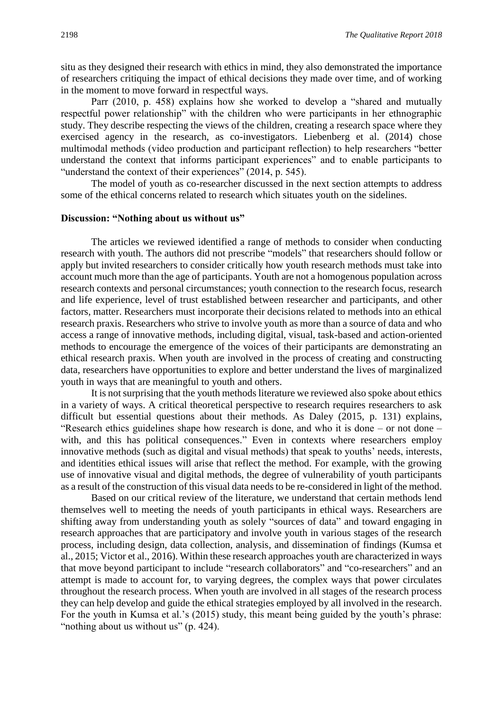situ as they designed their research with ethics in mind, they also demonstrated the importance of researchers critiquing the impact of ethical decisions they made over time, and of working in the moment to move forward in respectful ways.

Parr (2010, p. 458) explains how she worked to develop a "shared and mutually respectful power relationship" with the children who were participants in her ethnographic study. They describe respecting the views of the children, creating a research space where they exercised agency in the research, as co-investigators. Liebenberg et al. (2014) chose multimodal methods (video production and participant reflection) to help researchers "better understand the context that informs participant experiences" and to enable participants to "understand the context of their experiences" (2014, p. 545).

The model of youth as co-researcher discussed in the next section attempts to address some of the ethical concerns related to research which situates youth on the sidelines.

#### **Discussion: "Nothing about us without us"**

The articles we reviewed identified a range of methods to consider when conducting research with youth. The authors did not prescribe "models" that researchers should follow or apply but invited researchers to consider critically how youth research methods must take into account much more than the age of participants. Youth are not a homogenous population across research contexts and personal circumstances; youth connection to the research focus, research and life experience, level of trust established between researcher and participants, and other factors, matter. Researchers must incorporate their decisions related to methods into an ethical research praxis. Researchers who strive to involve youth as more than a source of data and who access a range of innovative methods, including digital, visual, task-based and action-oriented methods to encourage the emergence of the voices of their participants are demonstrating an ethical research praxis. When youth are involved in the process of creating and constructing data, researchers have opportunities to explore and better understand the lives of marginalized youth in ways that are meaningful to youth and others.

It is not surprising that the youth methods literature we reviewed also spoke about ethics in a variety of ways. A critical theoretical perspective to research requires researchers to ask difficult but essential questions about their methods. As Daley (2015, p. 131) explains, "Research ethics guidelines shape how research is done, and who it is done – or not done – with, and this has political consequences." Even in contexts where researchers employ innovative methods (such as digital and visual methods) that speak to youths' needs, interests, and identities ethical issues will arise that reflect the method. For example, with the growing use of innovative visual and digital methods, the degree of vulnerability of youth participants as a result of the construction of this visual data needs to be re-considered in light of the method.

Based on our critical review of the literature, we understand that certain methods lend themselves well to meeting the needs of youth participants in ethical ways. Researchers are shifting away from understanding youth as solely "sources of data" and toward engaging in research approaches that are participatory and involve youth in various stages of the research process, including design, data collection, analysis, and dissemination of findings (Kumsa et al., 2015; Victor et al., 2016). Within these research approaches youth are characterized in ways that move beyond participant to include "research collaborators" and "co-researchers" and an attempt is made to account for, to varying degrees, the complex ways that power circulates throughout the research process. When youth are involved in all stages of the research process they can help develop and guide the ethical strategies employed by all involved in the research. For the youth in Kumsa et al.'s (2015) study, this meant being guided by the youth's phrase: "nothing about us without us" (p. 424).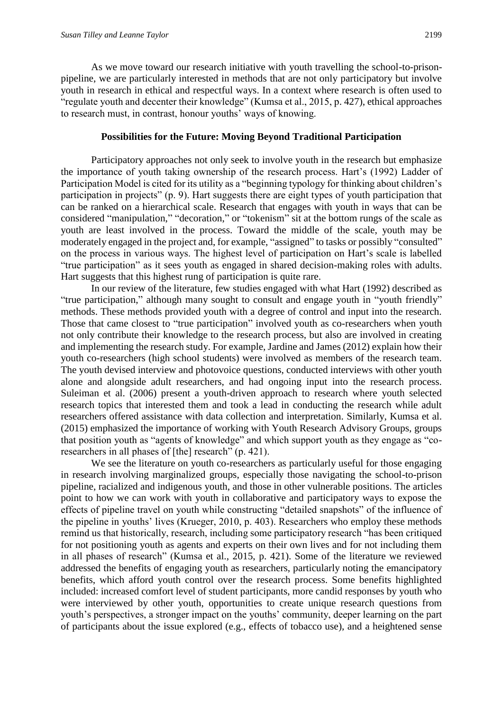As we move toward our research initiative with youth travelling the school-to-prisonpipeline, we are particularly interested in methods that are not only participatory but involve youth in research in ethical and respectful ways. In a context where research is often used to "regulate youth and decenter their knowledge" (Kumsa et al., 2015, p. 427), ethical approaches to research must, in contrast, honour youths' ways of knowing.

#### **Possibilities for the Future: Moving Beyond Traditional Participation**

Participatory approaches not only seek to involve youth in the research but emphasize the importance of youth taking ownership of the research process. Hart's (1992) Ladder of Participation Model is cited for its utility as a "beginning typology for thinking about children's participation in projects" (p. 9). Hart suggests there are eight types of youth participation that can be ranked on a hierarchical scale. Research that engages with youth in ways that can be considered "manipulation," "decoration," or "tokenism" sit at the bottom rungs of the scale as youth are least involved in the process. Toward the middle of the scale, youth may be moderately engaged in the project and, for example, "assigned" to tasks or possibly "consulted" on the process in various ways. The highest level of participation on Hart's scale is labelled "true participation" as it sees youth as engaged in shared decision-making roles with adults. Hart suggests that this highest rung of participation is quite rare.

In our review of the literature, few studies engaged with what Hart (1992) described as "true participation," although many sought to consult and engage youth in "youth friendly" methods. These methods provided youth with a degree of control and input into the research. Those that came closest to "true participation" involved youth as co-researchers when youth not only contribute their knowledge to the research process, but also are involved in creating and implementing the research study. For example, Jardine and James (2012) explain how their youth co-researchers (high school students) were involved as members of the research team. The youth devised interview and photovoice questions, conducted interviews with other youth alone and alongside adult researchers, and had ongoing input into the research process. Suleiman et al. (2006) present a youth-driven approach to research where youth selected research topics that interested them and took a lead in conducting the research while adult researchers offered assistance with data collection and interpretation. Similarly, Kumsa et al. (2015) emphasized the importance of working with Youth Research Advisory Groups, groups that position youth as "agents of knowledge" and which support youth as they engage as "coresearchers in all phases of [the] research" (p. 421).

We see the literature on youth co-researchers as particularly useful for those engaging in research involving marginalized groups, especially those navigating the school-to-prison pipeline, racialized and indigenous youth, and those in other vulnerable positions. The articles point to how we can work with youth in collaborative and participatory ways to expose the effects of pipeline travel on youth while constructing "detailed snapshots" of the influence of the pipeline in youths' lives (Krueger, 2010, p. 403). Researchers who employ these methods remind us that historically, research, including some participatory research "has been critiqued for not positioning youth as agents and experts on their own lives and for not including them in all phases of research" (Kumsa et al., 2015, p. 421). Some of the literature we reviewed addressed the benefits of engaging youth as researchers, particularly noting the emancipatory benefits, which afford youth control over the research process. Some benefits highlighted included: increased comfort level of student participants, more candid responses by youth who were interviewed by other youth, opportunities to create unique research questions from youth's perspectives, a stronger impact on the youths' community, deeper learning on the part of participants about the issue explored (e.g., effects of tobacco use), and a heightened sense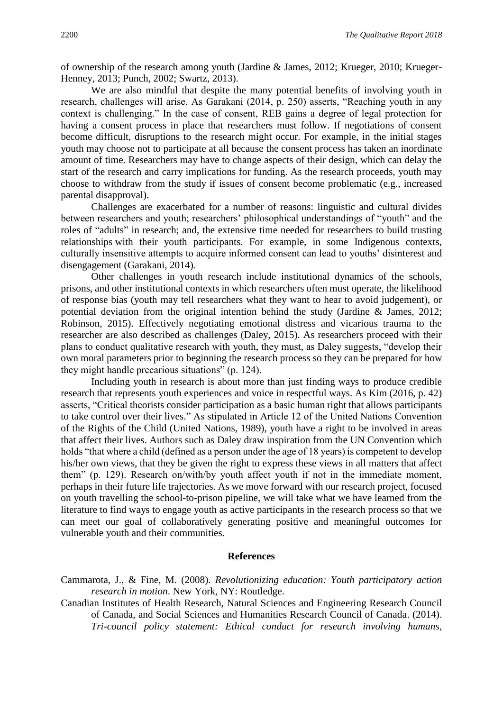of ownership of the research among youth (Jardine & James, 2012; Krueger, 2010; Krueger-Henney, 2013; Punch, 2002; Swartz, 2013).

We are also mindful that despite the many potential benefits of involving youth in research, challenges will arise. As Garakani (2014, p. 250) asserts, "Reaching youth in any context is challenging." In the case of consent, REB gains a degree of legal protection for having a consent process in place that researchers must follow. If negotiations of consent become difficult, disruptions to the research might occur. For example, in the initial stages youth may choose not to participate at all because the consent process has taken an inordinate amount of time. Researchers may have to change aspects of their design, which can delay the start of the research and carry implications for funding. As the research proceeds, youth may choose to withdraw from the study if issues of consent become problematic (e.g., increased parental disapproval).

Challenges are exacerbated for a number of reasons: linguistic and cultural divides between researchers and youth; researchers' philosophical understandings of "youth" and the roles of "adults" in research; and, the extensive time needed for researchers to build trusting relationships with their youth participants. For example, in some Indigenous contexts, culturally insensitive attempts to acquire informed consent can lead to youths' disinterest and disengagement (Garakani, 2014).

Other challenges in youth research include institutional dynamics of the schools, prisons, and other institutional contexts in which researchers often must operate, the likelihood of response bias (youth may tell researchers what they want to hear to avoid judgement), or potential deviation from the original intention behind the study (Jardine & James, 2012; Robinson, 2015). Effectively negotiating emotional distress and vicarious trauma to the researcher are also described as challenges (Daley, 2015). As researchers proceed with their plans to conduct qualitative research with youth, they must, as Daley suggests, "develop their own moral parameters prior to beginning the research process so they can be prepared for how they might handle precarious situations" (p. 124).

Including youth in research is about more than just finding ways to produce credible research that represents youth experiences and voice in respectful ways. As Kim (2016, p. 42) asserts, "Critical theorists consider participation as a basic human right that allows participants to take control over their lives." As stipulated in Article 12 of the United Nations Convention of the Rights of the Child (United Nations, 1989), youth have a right to be involved in areas that affect their lives. Authors such as Daley draw inspiration from the UN Convention which holds "that where a child (defined as a person under the age of 18 years) is competent to develop his/her own views, that they be given the right to express these views in all matters that affect them" (p. 129). Research on/with/by youth affect youth if not in the immediate moment, perhaps in their future life trajectories. As we move forward with our research project, focused on youth travelling the school-to-prison pipeline, we will take what we have learned from the literature to find ways to engage youth as active participants in the research process so that we can meet our goal of collaboratively generating positive and meaningful outcomes for vulnerable youth and their communities.

#### **References**

Cammarota, J., & Fine, M. (2008). *Revolutionizing education: Youth participatory action research in motion*. New York, NY: Routledge.

Canadian Institutes of Health Research, Natural Sciences and Engineering Research Council of Canada, and Social Sciences and Humanities Research Council of Canada. (2014). *Tri-council policy statement: Ethical conduct for research involving humans,*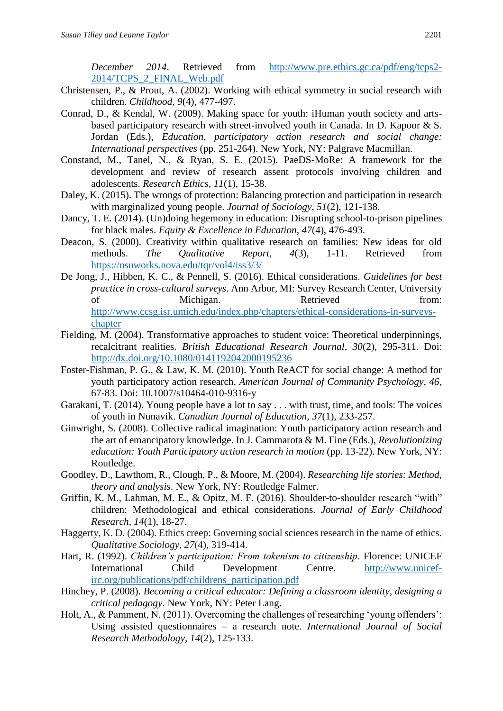*December 2014*. Retrieved from [http://www.pre.ethics.gc.ca/pdf/eng/tcps2-](http://www.pre.ethics.gc.ca/pdf/eng/tcps2-2014/TCPS_2_FINAL_Web.pdf) [2014/TCPS\\_2\\_FINAL\\_Web.pdf](http://www.pre.ethics.gc.ca/pdf/eng/tcps2-2014/TCPS_2_FINAL_Web.pdf)

- Christensen, P., & Prout, A. (2002). Working with ethical symmetry in social research with children. *Childhood, 9*(4), 477-497.
- Conrad, D., & Kendal, W. (2009). Making space for youth: iHuman youth society and artsbased participatory research with street-involved youth in Canada. In D. Kapoor & S. Jordan (Eds.), *Education, participatory action research and social change: International perspectives* (pp. 251-264). New York, NY: Palgrave Macmillan.
- Constand, M., Tanel, N., & Ryan, S. E. (2015). PaeDS-MoRe: A framework for the development and review of research assent protocols involving children and adolescents. *Research Ethics, 11*(1), 15-38.
- Daley, K. (2015). The wrongs of protection: Balancing protection and participation in research with marginalized young people. *Journal of Sociology, 51*(2), 121-138.
- Dancy, T. E. (2014). (Un)doing hegemony in education: Disrupting school-to-prison pipelines for black males. *Equity & Excellence in Education, 47*(4), 476-493.
- Deacon, S. (2000). Creativity within qualitative research on families: New ideas for old methods. *The Qualitative Report, 4*(3), 1-11. Retrieved from <https://nsuworks.nova.edu/tqr/vol4/iss3/3/>
- De Jong, J., Hibben, K. C., & Pennell, S. (2016). Ethical considerations. *Guidelines for best practice in cross-cultural surveys*. Ann Arbor, MI: Survey Research Center, University of Michigan. Retrieved from: [http://www.ccsg.isr.umich.edu/index.php/chapters/ethical-considerations-in-surveys](http://www.ccsg.isr.umich.edu/index.php/chapters/ethical-considerations-in-surveys-chapter)[chapter](http://www.ccsg.isr.umich.edu/index.php/chapters/ethical-considerations-in-surveys-chapter)
- Fielding, M. (2004). Transformative approaches to student voice: Theoretical underpinnings, recalcitrant realities. *British Educational Research Journal, 30*(2), 295-311. Doi: <http://dx.doi.org/10.1080/0141192042000195236>
- Foster-Fishman, P. G., & Law, K. M. (2010). Youth ReACT for social change: A method for youth participatory action research. *American Journal of Community Psychology, 46*, 67-83. Doi: 10.1007/s10464-010-9316-y
- Garakani, T. (2014). Young people have a lot to say . . . with trust, time, and tools: The voices of youth in Nunavik. *Canadian Journal of Education, 37*(1), 233-257.
- Ginwright, S. (2008). Collective radical imagination: Youth participatory action research and the art of emancipatory knowledge. In J. Cammarota & M. Fine (Eds.), *Revolutionizing education: Youth Participatory action research in motion* (pp. 13-22). New York, NY: Routledge.
- Goodley, D., Lawthom, R., Clough, P., & Moore, M. (2004). *Researching life stories: Method, theory and analysis*. New York, NY: Routledge Falmer.
- Griffin, K. M., Lahman, M. E., & Opitz, M. F. (2016). Shoulder-to-shoulder research "with" children: Methodological and ethical considerations. *Journal of Early Childhood Research, 14*(1), 18-27.
- Haggerty, K. D. (2004). Ethics creep: Governing social sciences research in the name of ethics. *Qualitative Sociology, 27*(4), 319-414.
- Hart, R. (1992). *Children's participation: From tokenism to citizenship*. Florence: UNICEF International Child Development Centre. [http://www.unicef](http://www.unicef-irc.org/publications/pdf/childrens_participation.pdf)[irc.org/publications/pdf/childrens\\_participation.pdf](http://www.unicef-irc.org/publications/pdf/childrens_participation.pdf)
- Hinchey, P. (2008). *Becoming a critical educator: Defining a classroom identity, designing a critical pedagogy*. New York, NY: Peter Lang.
- Holt, A., & Pamment, N. (2011). Overcoming the challenges of researching 'young offenders': Using assisted questionnaires – a research note. *International Journal of Social Research Methodology, 14*(2), 125-133.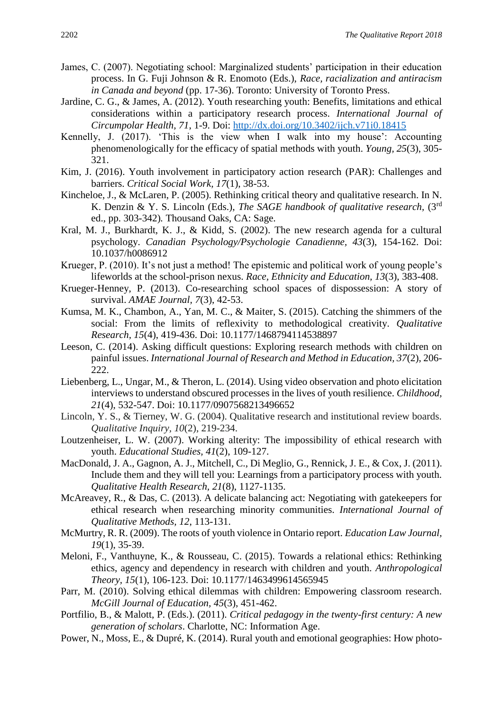- James, C. (2007). Negotiating school: Marginalized students' participation in their education process. In G. Fuji Johnson & R. Enomoto (Eds.), *Race, racialization and antiracism in Canada and beyond* (pp. 17-36). Toronto: University of Toronto Press.
- Jardine, C. G., & James, A. (2012). Youth researching youth: Benefits, limitations and ethical considerations within a participatory research process. *International Journal of Circumpolar Health, 71*, 1-9. Doi:<http://dx.doi.org/10.3402/ijch.v71i0.18415>
- Kennelly, J. (2017). 'This is the view when I walk into my house': Accounting phenomenologically for the efficacy of spatial methods with youth. *Young, 25*(3), 305- 321.
- Kim, J. (2016). Youth involvement in participatory action research (PAR): Challenges and barriers. *Critical Social Work, 17*(1), 38-53.
- Kincheloe, J., & McLaren, P. (2005). Rethinking critical theory and qualitative research. In N. K. Denzin & Y. S. Lincoln (Eds.), *The SAGE handbook of qualitative research,* (3rd ed., pp. 303-342)*.* Thousand Oaks, CA: Sage.
- Kral, M. J., Burkhardt, K. J., & Kidd, S. (2002). The new research agenda for a cultural psychology. *Canadian Psychology/Psychologie Canadienne, 43*(3), 154-162. Doi: 10.1037/h0086912
- Krueger, P. (2010). It's not just a method! The epistemic and political work of young people's lifeworlds at the school-prison nexus. *Race, Ethnicity and Education, 13*(3), 383-408.
- Krueger-Henney, P. (2013). Co-researching school spaces of dispossession: A story of survival. *AMAE Journal, 7*(3), 42-53.
- Kumsa, M. K., Chambon, A., Yan, M. C., & Maiter, S. (2015). Catching the shimmers of the social: From the limits of reflexivity to methodological creativity. *Qualitative Research, 15*(4), 419-436. Doi: 10.1177/1468794114538897
- Leeson, C. (2014). Asking difficult questions: Exploring research methods with children on painful issues. *International Journal of Research and Method in Education, 37*(2), 206- 222.
- Liebenberg, L., Ungar, M., & Theron, L. (2014). Using video observation and photo elicitation interviews to understand obscured processes in the lives of youth resilience. *Childhood, 21*(4), 532-547. Doi: 10.1177/0907568213496652
- Lincoln, Y. S., & Tierney, W. G. (2004). Qualitative research and institutional review boards. *Qualitative Inquiry, 10*(2), 219-234.
- Loutzenheiser, L. W. (2007). Working alterity: The impossibility of ethical research with youth. *Educational Studies, 41*(2), 109-127.
- MacDonald, J. A., Gagnon, A. J., Mitchell, C., Di Meglio, G., Rennick, J. E., & Cox, J. (2011). Include them and they will tell you: Learnings from a participatory process with youth. *Qualitative Health Research, 21*(8), 1127-1135.
- McAreavey, R., & Das, C. (2013). A delicate balancing act: Negotiating with gatekeepers for ethical research when researching minority communities. *International Journal of Qualitative Methods, 12*, 113-131.
- McMurtry, R. R. (2009). The roots of youth violence in Ontario report. *Education Law Journal, 19*(1), 35-39.
- Meloni, F., Vanthuyne, K., & Rousseau, C. (2015). Towards a relational ethics: Rethinking ethics, agency and dependency in research with children and youth. *Anthropological Theory, 15*(1), 106-123. Doi: 10.1177/1463499614565945
- Parr, M. (2010). Solving ethical dilemmas with children: Empowering classroom research. *McGill Journal of Education, 45*(3), 451-462.
- Portfilio, B., & Malott, P. (Eds.). (2011). *Critical pedagogy in the twenty-first century: A new generation of scholars*. Charlotte, NC: Information Age.
- Power, N., Moss, E., & Dupré, K. (2014). Rural youth and emotional geographies: How photo-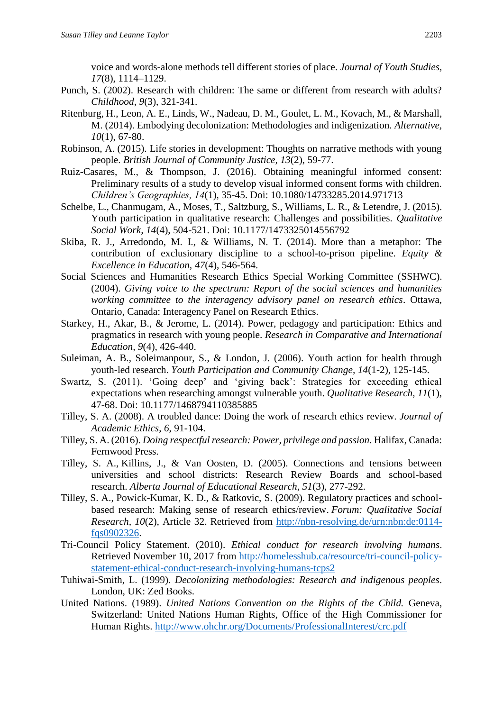voice and words-alone methods tell different stories of place. *Journal of Youth Studies, 17*(8), 1114–1129.

- Punch, S. (2002). Research with children: The same or different from research with adults? *Childhood, 9*(3), 321-341.
- Ritenburg, H., Leon, A. E., Linds, W., Nadeau, D. M., Goulet, L. M., Kovach, M., & Marshall, M. (2014). Embodying decolonization: Methodologies and indigenization. *Alternative, 10*(1), 67-80.
- Robinson, A. (2015). Life stories in development: Thoughts on narrative methods with young people. *British Journal of Community Justice, 13*(2), 59-77.
- Ruiz-Casares, M., & Thompson, J. (2016). Obtaining meaningful informed consent: Preliminary results of a study to develop visual informed consent forms with children. *Children's Geographies, 14*(1), 35-45. Doi: 10.1080/14733285.2014.971713
- Schelbe, L., Chanmugam, A., Moses, T., Saltzburg, S., Williams, L. R., & Letendre, J. (2015). Youth participation in qualitative research: Challenges and possibilities. *Qualitative Social Work, 14*(4), 504-521. Doi: 10.1177/1473325014556792
- Skiba, R. J., Arredondo, M. I., & Williams, N. T. (2014). More than a metaphor: The contribution of exclusionary discipline to a school-to-prison pipeline. *Equity & Excellence in Education, 47*(4), 546-564.
- Social Sciences and Humanities Research Ethics Special Working Committee (SSHWC). (2004). *Giving voice to the spectrum: Report of the social sciences and humanities working committee to the interagency advisory panel on research ethics*. Ottawa, Ontario, Canada: Interagency Panel on Research Ethics.
- Starkey, H., Akar, B., & Jerome, L. (2014). Power, pedagogy and participation: Ethics and pragmatics in research with young people. *Research in Comparative and International Education, 9*(4), 426-440.
- Suleiman, A. B., Soleimanpour, S., & London, J. (2006). Youth action for health through youth-led research. *Youth Participation and Community Change, 14*(1-2), 125-145.
- Swartz, S. (2011). 'Going deep' and 'giving back': Strategies for exceeding ethical expectations when researching amongst vulnerable youth. *Qualitative Research, 11*(1), 47-68. Doi: 10.1177/1468794110385885
- Tilley, S. A. (2008). A troubled dance: Doing the work of research ethics review. *Journal of Academic Ethics*, *6*, 91-104.
- Tilley, S. A. (2016). *Doing respectful research: Power, privilege and passion*. Halifax, Canada: Fernwood Press.
- Tilley, S. A., Killins, J., & Van Oosten, D. (2005). Connections and tensions between universities and school districts: Research Review Boards and school-based research. *Alberta Journal of Educational Research, 51*(3), 277-292.
- Tilley, S. A., Powick-Kumar, K. D., & Ratkovic, S. (2009). Regulatory practices and schoolbased research: Making sense of research ethics/review. *Forum: Qualitative Social Research, 10*(2), Article 32. Retrieved from [http://nbn-resolving.de/urn:nbn:de:0114](http://nbn-resolving.de/urn:nbn:de:0114-fqs0902326) [fqs0902326.](http://nbn-resolving.de/urn:nbn:de:0114-fqs0902326)
- Tri-Council Policy Statement. (2010). *Ethical conduct for research involving humans*. Retrieved November 10, 2017 from [http://homelesshub.ca/resource/tri-council-policy](http://homelesshub.ca/resource/tri-council-policy-statement-ethical-conduct-research-involving-humans-tcps2)[statement-ethical-conduct-research-involving-humans-tcps2](http://homelesshub.ca/resource/tri-council-policy-statement-ethical-conduct-research-involving-humans-tcps2)
- Tuhiwai-Smith, L. (1999). *Decolonizing methodologies: Research and indigenous peoples*. London, UK: Zed Books.
- United Nations. (1989). *United Nations Convention on the Rights of the Child.* Geneva, Switzerland: United Nations Human Rights, Office of the High Commissioner for Human Rights.<http://www.ohchr.org/Documents/ProfessionalInterest/crc.pdf>